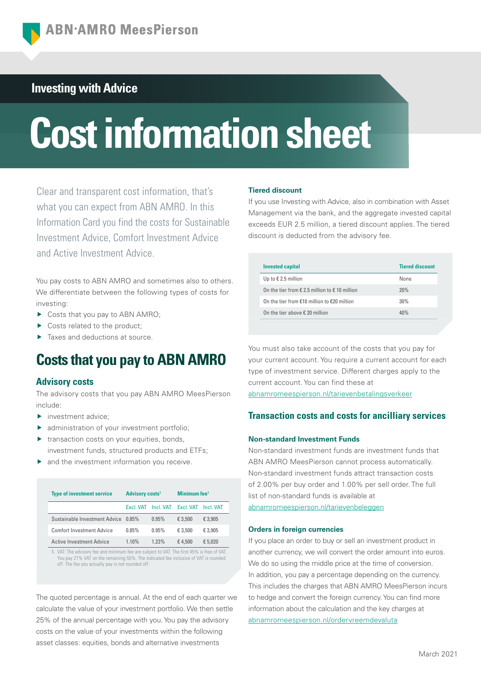# **Investing with Advice**

# **Cost information sheet**

Clear and transparent cost information, that's what you can expect from ABN AMRO. In this Information Card you find the costs for Sustainable Investment Advice, Comfort Investment Advice and Active Investment Advice.

You pay costs to ABN AMRO and sometimes also to others. We differentiate between the following types of costs for investing:

- ▶ Costs that you pay to ABN AMRO;
- Costs related to the product;
- ▶ Taxes and deductions at source.

# **Costs that you pay to ABN AMRO**

## **Advisory costs**

The advisory costs that you pay ABN AMRO MeesPierson include:

- investment advice;
- administration of your investment portfolio;
- $\blacktriangleright$  transaction costs on your equities, bonds, investment funds, structured products and ETFs;
- and the investment information you receive.

| <b>Type of investment service</b> | <b>Advisory costs<sup>1</sup></b> |           | Minimum fee <sup>1</sup> |           |
|-----------------------------------|-----------------------------------|-----------|--------------------------|-----------|
|                                   | Fxcl VAT                          | Incl. VAT | Excl. VAT                | Incl. VAT |
| Sustainable Investment Advice     | 0.85%                             | 0.95%     | € 3.500                  | € 3.905   |
| <b>Comfort Investment Advice</b>  | 0.85%                             | 0.95%     | € 3.500                  | € 3.905   |
| <b>Active Investment Advice</b>   | 1.10%                             | 1.23%     | €4.500                   | € 5.020   |
|                                   | $\sim$                            |           |                          |           |

1. VAT: The advisory fee and minimum fee are subject to VAT. The first 45% is free of VAT. You pay 21% VAT on the remaining 55%. The indicated fee inclusive of VAT is rounded off. The fee you actually pay is not rounded off.

The quoted percentage is annual. At the end of each quarter we calculate the value of your investment portfolio. We then settle 25% of the annual percentage with you. You pay the advisory costs on the value of your investments within the following asset classes: equities, bonds and alternative investments

## **Tiered discount**

If you use Investing with Advice, also in combination with Asset Management via the bank, and the aggregate invested capital exceeds EUR 2.5 million, a tiered discount applies. The tiered discount is deducted from the advisory fee.

| <b>Invested capital</b>                                          | <b>Tiered discount</b> |
|------------------------------------------------------------------|------------------------|
| Up to $\epsilon$ 2.5 million                                     | None                   |
| On the tier from $\epsilon$ 2.5 million to $\epsilon$ 10 million | 20%                    |
| On the tier from $£10$ million to $£20$ million                  | 30%                    |
| On the tier above $\epsilon$ 20 million                          | 40%                    |

You must also take account of the costs that you pay for your current account. You require a current account for each type of investment service. Different charges apply to the current account. You can find these at

[abnamromeespierson.nl/tarievenbetalingsverkeer](https://www.abnamro.nl/nl/privatebanking/betalen/tarieven.html)

# **Transaction costs and costs for ancilliary services**

## **Non-standard Investment Funds**

Non-standard investment funds are investment funds that ABN AMRO MeesPierson cannot process automatically. Non-standard investment funds attract transaction costs of 2.00% per buy order and 1.00% per sell order. The full list of non-standard funds is available at

[abnamromeespierson.nl/tarievenbeleggen](https://www.abnamro.nl/nl/privatebanking/beleggen/tarieven.html)

## **Orders in foreign currencies**

If you place an order to buy or sell an investment product in another currency, we will convert the order amount into euros. We do so using the middle price at the time of conversion. In addition, you pay a percentage depending on the currency. This includes the charges that ABN AMRO MeesPierson incurs to hedge and convert the foreign currency. You can find more information about the calculation and the key charges at [abnamromeespierson.nl/ordervreemdevaluta](https://www.abnamro.nl/nl/prive/beleggen/service/beleggingsorders/voorbeeld.html)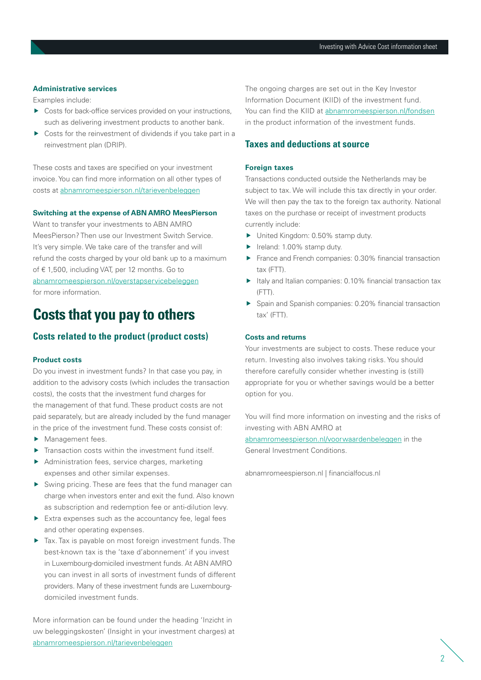## **Administrative services**

Examples include:

- ▶ Costs for back-office services provided on your instructions, such as delivering investment products to another bank.
- ▶ Costs for the reinvestment of dividends if you take part in a reinvestment plan (DRIP).

These costs and taxes are specified on your investment invoice. You can find more information on all other types of costs at [abnamromeespierson.nl/tarievenbeleggen](https://www.abnamro.nl/nl/privatebanking/beleggen/tarieven.html)

## **Switching at the expense of ABN AMRO MeesPierson**

Want to transfer your investments to ABN AMRO MeesPierson? Then use our Investment Switch Service. It's very simple. We take care of the transfer and will refund the costs charged by your old bank up to a maximum of € 1,500, including VAT, per 12 months. Go to [abnamromeespierson.nl/overstapservicebeleggen](https://www.abnamro.nl/nl/prive/beleggen/service/overstapservice-beleggen/index.html?pos=vku_overstapservicebeleggen) for more information.

# **Costs that you pay to others**

# **Costs related to the product (product costs)**

## **Product costs**

Do you invest in investment funds? In that case you pay, in addition to the advisory costs (which includes the transaction costs), the costs that the investment fund charges for the management of that fund. These product costs are not paid separately, but are already included by the fund manager in the price of the investment fund. These costs consist of:

- Management fees.
- $\blacktriangleright$  Transaction costs within the investment fund itself.
- Administration fees, service charges, marketing expenses and other similar expenses.
- $\triangleright$  Swing pricing. These are fees that the fund manager can charge when investors enter and exit the fund. Also known as subscription and redemption fee or anti-dilution levy.
- $\blacktriangleright$  Extra expenses such as the accountancy fee, legal fees and other operating expenses.
- Tax. Tax is payable on most foreign investment funds. The best-known tax is the 'taxe d'abonnement' if you invest in Luxembourg-domiciled investment funds. At ABN AMRO you can invest in all sorts of investment funds of different providers. Many of these investment funds are Luxembourgdomiciled investment funds.

More information can be found under the heading 'Inzicht in uw beleggingskosten' (Insight in your investment charges) at [abnamromeespierson.nl/tarievenbeleggen](https://www.abnamro.nl/nl/privatebanking/beleggen/tarieven.html) 

The ongoing charges are set out in the Key Investor Information Document (KIID) of the investment fund. You can find the KIID at [abnamromeespierson.nl/fondsen](https://www.abnamro.nl/nl/prive/beleggen/koersinformatie/beleggingsfondsen.html) in the product information of the investment funds.

## **Taxes and deductions at source**

## **Foreign taxes**

Transactions conducted outside the Netherlands may be subject to tax. We will include this tax directly in your order. We will then pay the tax to the foreign tax authority. National taxes on the purchase or receipt of investment products currently include:

- ▶ United Kingdom: 0.50% stamp duty.
- $\blacktriangleright$  Ireland: 1.00% stamp duty.
- France and French companies: 0.30% financial transaction tax (FTT).
- $\blacktriangleright$  Italy and Italian companies: 0.10% financial transaction tax (FTT).
- Spain and Spanish companies: 0.20% financial transaction tax' (FTT).

## **Costs and returns**

Your investments are subject to costs. These reduce your return. Investing also involves taking risks. You should therefore carefully consider whether investing is (still) appropriate for you or whether savings would be a better option for you.

You will find more information on investing and the risks of investing with ABN AMRO at

[abnamromeespierson.nl/voorwaardenbeleggen](https://www.abnamro.nl/nl/prive/beleggen/voorwaarden.html?pos=vku_voorwaardenbeleggen) in the General Investment Conditions.

[abnamromeespierson.nl](https://www.abnamro.nl/nl/privatebanking/index.html?pos=vku_abnamromeespierson) | [financialfocus.nl](https://financialfocus.abnamro.nl/)